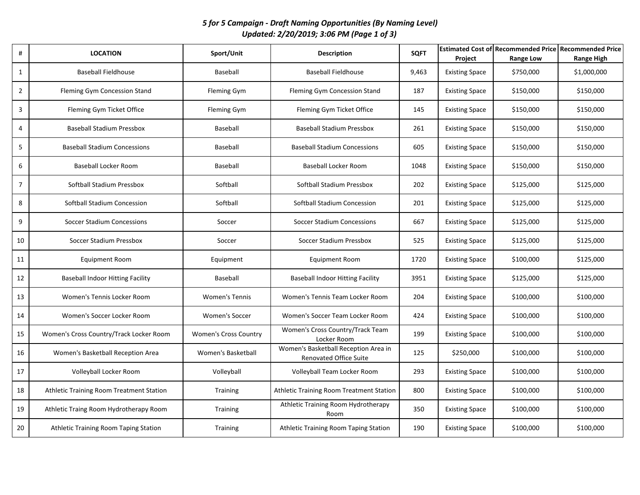*5 for 5 Campaign - Draft Naming Opportunities (By Naming Level) Updated: 2/20/2019; 3:06 PM (Page 1 of 3)*

| #              | <b>LOCATION</b>                          | Sport/Unit                   | <b>Description</b>                                             | <b>SQFT</b> | Project               | <b>Estimated Cost of Recommended Price Recommended Price</b><br>Range Low | <b>Range High</b> |
|----------------|------------------------------------------|------------------------------|----------------------------------------------------------------|-------------|-----------------------|---------------------------------------------------------------------------|-------------------|
| $\mathbf{1}$   | <b>Baseball Fieldhouse</b>               | Baseball                     | <b>Baseball Fieldhouse</b>                                     | 9,463       | <b>Existing Space</b> | \$750,000                                                                 | \$1,000,000       |
| $\overline{2}$ | Fleming Gym Concession Stand             | <b>Fleming Gym</b>           | Fleming Gym Concession Stand                                   | 187         | <b>Existing Space</b> | \$150,000                                                                 | \$150,000         |
| 3              | Fleming Gym Ticket Office                | <b>Fleming Gym</b>           | Fleming Gym Ticket Office                                      | 145         | <b>Existing Space</b> | \$150,000                                                                 | \$150,000         |
| 4              | <b>Baseball Stadium Pressbox</b>         | Baseball                     | <b>Baseball Stadium Pressbox</b>                               | 261         | <b>Existing Space</b> | \$150,000                                                                 | \$150,000         |
| 5              | <b>Baseball Stadium Concessions</b>      | Baseball                     | <b>Baseball Stadium Concessions</b>                            | 605         | <b>Existing Space</b> | \$150,000                                                                 | \$150,000         |
| 6              | Baseball Locker Room                     | Baseball                     | Baseball Locker Room                                           | 1048        | <b>Existing Space</b> | \$150,000                                                                 | \$150,000         |
| $\overline{7}$ | Softball Stadium Pressbox                | Softball                     | Softball Stadium Pressbox                                      | 202         | <b>Existing Space</b> | \$125,000                                                                 | \$125,000         |
| 8              | Softball Stadium Concession              | Softball                     | Softball Stadium Concession                                    | 201         | <b>Existing Space</b> | \$125,000                                                                 | \$125,000         |
| 9              | <b>Soccer Stadium Concessions</b>        | Soccer                       | <b>Soccer Stadium Concessions</b>                              | 667         | <b>Existing Space</b> | \$125,000                                                                 | \$125,000         |
| 10             | Soccer Stadium Pressbox                  | Soccer                       | Soccer Stadium Pressbox                                        | 525         | <b>Existing Space</b> | \$125,000                                                                 | \$125,000         |
| 11             | <b>Equipment Room</b>                    | Equipment                    | <b>Equipment Room</b>                                          | 1720        | <b>Existing Space</b> | \$100,000                                                                 | \$125,000         |
| 12             | <b>Baseball Indoor Hitting Facility</b>  | Baseball                     | <b>Baseball Indoor Hitting Facility</b>                        | 3951        | <b>Existing Space</b> | \$125,000                                                                 | \$125,000         |
| 13             | Women's Tennis Locker Room               | <b>Women's Tennis</b>        | Women's Tennis Team Locker Room                                | 204         | <b>Existing Space</b> | \$100,000                                                                 | \$100,000         |
| 14             | Women's Soccer Locker Room               | <b>Women's Soccer</b>        | Women's Soccer Team Locker Room                                | 424         | <b>Existing Space</b> | \$100,000                                                                 | \$100,000         |
| 15             | Women's Cross Country/Track Locker Room  | <b>Women's Cross Country</b> | Women's Cross Country/Track Team<br>Locker Room                | 199         | <b>Existing Space</b> | \$100,000                                                                 | \$100,000         |
| 16             | Women's Basketball Reception Area        | Women's Basketball           | Women's Basketball Reception Area in<br>Renovated Office Suite | 125         | \$250,000             | \$100,000                                                                 | \$100,000         |
| $17\,$         | Volleyball Locker Room                   | Volleyball                   | Volleyball Team Locker Room                                    | 293         | <b>Existing Space</b> | \$100,000                                                                 | \$100,000         |
| 18             | Athletic Training Room Treatment Station | Training                     | Athletic Training Room Treatment Station                       | 800         | <b>Existing Space</b> | \$100,000                                                                 | \$100,000         |
| 19             | Athletic Traing Room Hydrotherapy Room   | <b>Training</b>              | Athletic Training Room Hydrotherapy<br>Room                    | 350         | <b>Existing Space</b> | \$100,000                                                                 | \$100,000         |
| 20             | Athletic Training Room Taping Station    | Training                     | Athletic Training Room Taping Station                          | 190         | <b>Existing Space</b> | \$100,000                                                                 | \$100,000         |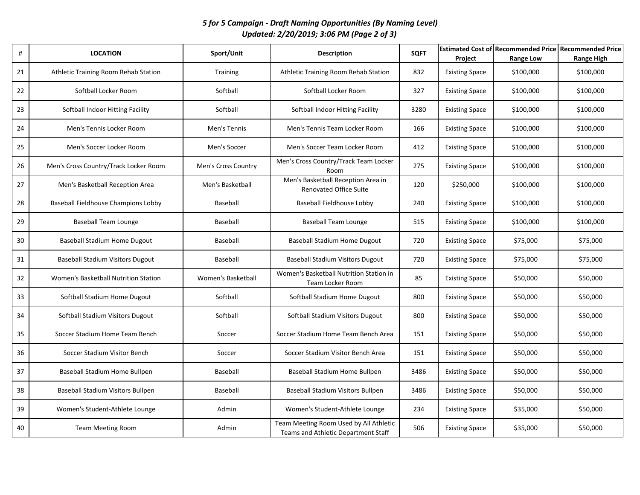## *5 for 5 Campaign - Draft Naming Opportunities (By Naming Level) Updated: 2/20/2019; 3:06 PM (Page 2 of 3)*

| #  | <b>LOCATION</b>                          | Sport/Unit          | <b>Description</b>                                                            | <b>SQFT</b> | Project               | <b>Estimated Cost of Recommended Price Recommended Price</b><br><b>Range Low</b> | <b>Range High</b> |
|----|------------------------------------------|---------------------|-------------------------------------------------------------------------------|-------------|-----------------------|----------------------------------------------------------------------------------|-------------------|
| 21 | Athletic Training Room Rehab Station     | Training            | Athletic Training Room Rehab Station                                          | 832         | <b>Existing Space</b> | \$100,000                                                                        | \$100,000         |
| 22 | Softball Locker Room                     | Softball            | Softball Locker Room                                                          | 327         | <b>Existing Space</b> | \$100,000                                                                        | \$100,000         |
| 23 | Softball Indoor Hitting Facility         | Softball            | Softball Indoor Hitting Facility                                              | 3280        | <b>Existing Space</b> | \$100,000                                                                        | \$100,000         |
| 24 | Men's Tennis Locker Room                 | Men's Tennis        | Men's Tennis Team Locker Room                                                 | 166         | <b>Existing Space</b> | \$100,000                                                                        | \$100,000         |
| 25 | Men's Soccer Locker Room                 | Men's Soccer        | Men's Soccer Team Locker Room                                                 | 412         | <b>Existing Space</b> | \$100,000                                                                        | \$100,000         |
| 26 | Men's Cross Country/Track Locker Room    | Men's Cross Country | Men's Cross Country/Track Team Locker<br>Room                                 | 275         | <b>Existing Space</b> | \$100,000                                                                        | \$100,000         |
| 27 | Men's Basketball Reception Area          | Men's Basketball    | Men's Basketball Reception Area in<br><b>Renovated Office Suite</b>           | 120         | \$250,000             | \$100,000                                                                        | \$100,000         |
| 28 | Baseball Fieldhouse Champions Lobby      | Baseball            | Baseball Fieldhouse Lobby                                                     | 240         | <b>Existing Space</b> | \$100,000                                                                        | \$100,000         |
| 29 | <b>Baseball Team Lounge</b>              | Baseball            | <b>Baseball Team Lounge</b>                                                   | 515         | <b>Existing Space</b> | \$100,000                                                                        | \$100,000         |
| 30 | <b>Baseball Stadium Home Dugout</b>      | Baseball            | Baseball Stadium Home Dugout                                                  | 720         | <b>Existing Space</b> | \$75,000                                                                         | \$75,000          |
| 31 | <b>Baseball Stadium Visitors Dugout</b>  | Baseball            | Baseball Stadium Visitors Dugout                                              | 720         | <b>Existing Space</b> | \$75,000                                                                         | \$75,000          |
| 32 | Women's Basketball Nutrition Station     | Women's Basketball  | Women's Basketball Nutrition Station in<br>Team Locker Room                   | 85          | <b>Existing Space</b> | \$50,000                                                                         | \$50,000          |
| 33 | Softball Stadium Home Dugout             | Softball            | Softball Stadium Home Dugout                                                  | 800         | <b>Existing Space</b> | \$50,000                                                                         | \$50,000          |
| 34 | Softball Stadium Visitors Dugout         | Softball            | Softball Stadium Visitors Dugout                                              | 800         | <b>Existing Space</b> | \$50,000                                                                         | \$50,000          |
| 35 | Soccer Stadium Home Team Bench           | Soccer              | Soccer Stadium Home Team Bench Area                                           | 151         | <b>Existing Space</b> | \$50,000                                                                         | \$50,000          |
| 36 | Soccer Stadium Visitor Bench             | Soccer              | Soccer Stadium Visitor Bench Area                                             | 151         | <b>Existing Space</b> | \$50,000                                                                         | \$50,000          |
| 37 | Baseball Stadium Home Bullpen            | Baseball            | Baseball Stadium Home Bullpen                                                 | 3486        | <b>Existing Space</b> | \$50,000                                                                         | \$50,000          |
| 38 | <b>Baseball Stadium Visitors Bullpen</b> | Baseball            | Baseball Stadium Visitors Bullpen                                             | 3486        | <b>Existing Space</b> | \$50,000                                                                         | \$50,000          |
| 39 | Women's Student-Athlete Lounge           | Admin               | Women's Student-Athlete Lounge                                                | 234         | <b>Existing Space</b> | \$35,000                                                                         | \$50,000          |
| 40 | <b>Team Meeting Room</b>                 | Admin               | Team Meeting Room Used by All Athletic<br>Teams and Athletic Department Staff | 506         | <b>Existing Space</b> | \$35,000                                                                         | \$50,000          |